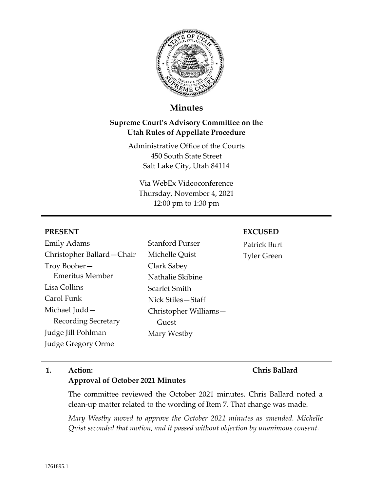

# **Minutes**

# **Supreme Court's Advisory Committee on the Utah Rules of Appellate Procedure**

Administrative Office of the Courts 450 South State Street Salt Lake City, Utah 84114

Via WebEx Videoconference Thursday, November 4, 2021 12:00 pm to 1:30 pm

## **PRESENT**

Emily Adams Christopher Ballard—Chair Troy Booher— Emeritus Member Lisa Collins Carol Funk Michael Judd— Recording Secretary Judge Jill Pohlman Judge Gregory Orme

# Stanford Purser Michelle Quist Clark Sabey Nathalie Skibine Scarlet Smith Nick Stiles—Staff Christopher Williams— Guest Mary Westby

#### **EXCUSED**

Patrick Burt Tyler Green

## **1. Action:**

## **Chris Ballard**

**Approval of October 2021 Minutes**

The committee reviewed the October 2021 minutes. Chris Ballard noted a clean-up matter related to the wording of Item 7. That change was made.

*Mary Westby moved to approve the October 2021 minutes as amended. Michelle Quist seconded that motion, and it passed without objection by unanimous consent.*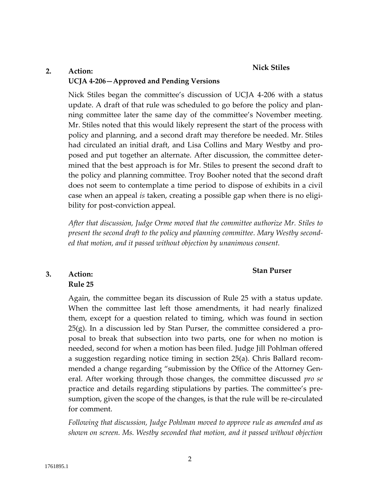#### **Nick Stiles**

# **2. Action: UCJA 4-206—Approved and Pending Versions**

Nick Stiles began the committee's discussion of UCJA 4-206 with a status update. A draft of that rule was scheduled to go before the policy and planning committee later the same day of the committee's November meeting. Mr. Stiles noted that this would likely represent the start of the process with policy and planning, and a second draft may therefore be needed. Mr. Stiles had circulated an initial draft, and Lisa Collins and Mary Westby and proposed and put together an alternate. After discussion, the committee determined that the best approach is for Mr. Stiles to present the second draft to the policy and planning committee. Troy Booher noted that the second draft does not seem to contemplate a time period to dispose of exhibits in a civil case when an appeal *is* taken, creating a possible gap when there is no eligibility for post-conviction appeal.

*After that discussion, Judge Orme moved that the committee authorize Mr. Stiles to present the second draft to the policy and planning committee. Mary Westby seconded that motion, and it passed without objection by unanimous consent.*

### **Stan Purser**

# **3. Action:**

## **Rule 25**

Again, the committee began its discussion of Rule 25 with a status update. When the committee last left those amendments, it had nearly finalized them, except for a question related to timing, which was found in section 25(g). In a discussion led by Stan Purser, the committee considered a proposal to break that subsection into two parts, one for when no motion is needed, second for when a motion has been filed. Judge Jill Pohlman offered a suggestion regarding notice timing in section 25(a). Chris Ballard recommended a change regarding "submission by the Office of the Attorney General. After working through those changes, the committee discussed *pro se*  practice and details regarding stipulations by parties. The committee's presumption, given the scope of the changes, is that the rule will be re-circulated for comment.

*Following that discussion, Judge Pohlman moved to approve rule as amended and as shown on screen. Ms. Westby seconded that motion, and it passed without objection*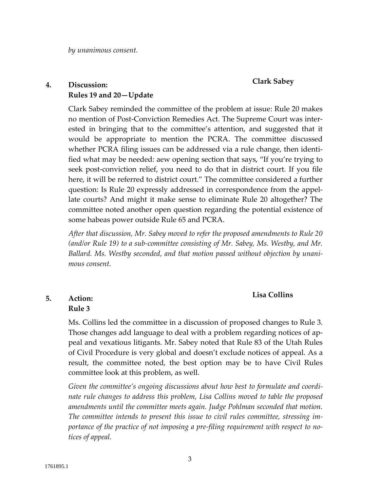*by unanimous consent.*

### **Clark Sabey**

## **4. Discussion: Rules 19 and 20—Update**

Clark Sabey reminded the committee of the problem at issue: Rule 20 makes no mention of Post-Conviction Remedies Act. The Supreme Court was interested in bringing that to the committee's attention, and suggested that it would be appropriate to mention the PCRA. The committee discussed whether PCRA filing issues can be addressed via a rule change, then identified what may be needed: aew opening section that says, "If you're trying to seek post-conviction relief, you need to do that in district court. If you file here, it will be referred to district court." The committee considered a further question: Is Rule 20 expressly addressed in correspondence from the appellate courts? And might it make sense to eliminate Rule 20 altogether? The committee noted another open question regarding the potential existence of some habeas power outside Rule 65 and PCRA.

*After that discussion, Mr. Sabey moved to refer the proposed amendments to Rule 20 (and/or Rule 19) to a sub-committee consisting of Mr. Sabey, Ms. Westby, and Mr. Ballard. Ms. Westby seconded, and that motion passed without objection by unanimous consent.*

### **Lisa Collins**

## **5. Action: Rule 3**

Ms. Collins led the committee in a discussion of proposed changes to Rule 3. Those changes add language to deal with a problem regarding notices of appeal and vexatious litigants. Mr. Sabey noted that Rule 83 of the Utah Rules of Civil Procedure is very global and doesn't exclude notices of appeal. As a result, the committee noted, the best option may be to have Civil Rules committee look at this problem, as well.

*Given the committee's ongoing discussions about how best to formulate and coordinate rule changes to address this problem, Lisa Collins moved to table the proposed amendments until the committee meets again. Judge Pohlman seconded that motion. The committee intends to present this issue to civil rules committee, stressing importance of the practice of not imposing a pre-filing requirement with respect to notices of appeal.*